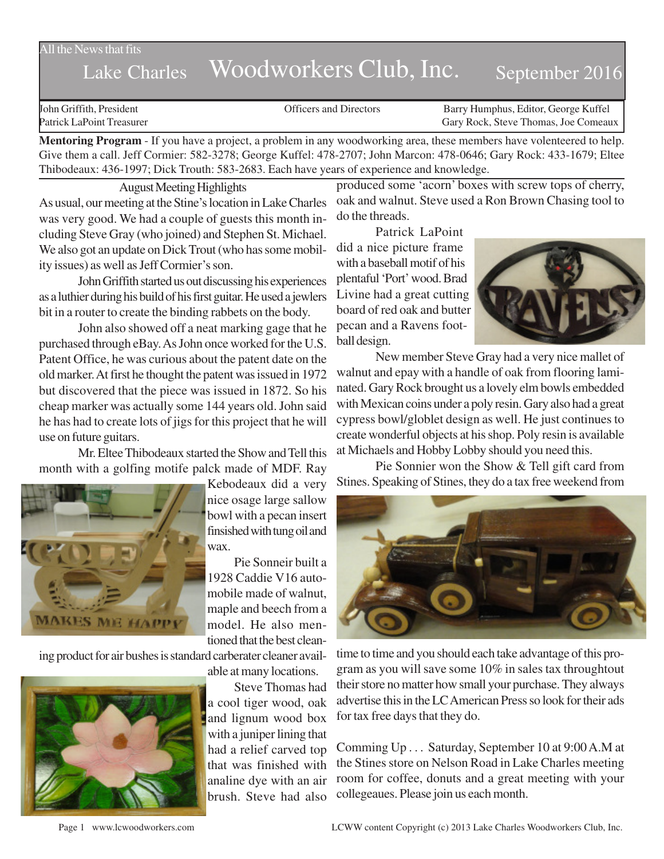### All the News that fits

# Lake Charles Woodworkers Club, Inc. September 2016

John Griffith, President Officers and Directors Barry Humphus, Editor, George Kuffel Patrick LaPoint Treasurer Gary Rock, Steve Thomas, Joe Comeaux

**Mentoring Program** - If you have a project, a problem in any woodworking area, these members have volenteered to help. Give them a call. Jeff Cormier: 582-3278; George Kuffel: 478-2707; John Marcon: 478-0646; Gary Rock: 433-1679; Eltee Thibodeaux: 436-1997; Dick Trouth: 583-2683. Each have years of experience and knowledge.

August Meeting Highlights

As usual, our meeting at the Stine's location in Lake Charles was very good. We had a couple of guests this month including Steve Gray (who joined) and Stephen St. Michael. We also got an update on Dick Trout (who has some mobility issues) as well as Jeff Cormier's son.

John Griffith started us out discussing his experiences as a luthier during his build of his first guitar. He used a jewlers bit in a router to create the binding rabbets on the body.

John also showed off a neat marking gage that he purchased through eBay. As John once worked for the U.S. Patent Office, he was curious about the patent date on the old marker. At first he thought the patent was issued in 1972 but discovered that the piece was issued in 1872. So his cheap marker was actually some 144 years old. John said he has had to create lots of jigs for this project that he will use on future guitars.

Mr. Eltee Thibodeaux started the Show and Tell this month with a golfing motife palck made of MDF. Ray



Kebodeaux did a very nice osage large sallow bowl with a pecan insert finsished with tung oil and wax.

Pie Sonneir built a 1928 Caddie V16 automobile made of walnut, maple and beech from a model. He also mentioned that the best clean-

ing product for air bushes is standard carberater cleaner avail-



able at many locations.

Steve Thomas had a cool tiger wood, oak and lignum wood box with a juniper lining that had a relief carved top that was finished with analine dye with an air brush. Steve had also produced some 'acorn' boxes with screw tops of cherry, oak and walnut. Steve used a Ron Brown Chasing tool to do the threads.

Patrick LaPoint did a nice picture frame with a baseball motif of his plentaful 'Port' wood. Brad Livine had a great cutting board of red oak and butter pecan and a Ravens football design.



New member Steve Gray had a very nice mallet of walnut and epay with a handle of oak from flooring laminated. Gary Rock brought us a lovely elm bowls embedded with Mexican coins under a poly resin. Gary also had a great cypress bowl/globlet design as well. He just continues to create wonderful objects at his shop. Poly resin is available at Michaels and Hobby Lobby should you need this.

Pie Sonnier won the Show & Tell gift card from Stines. Speaking of Stines, they do a tax free weekend from



time to time and you should each take advantage of this program as you will save some 10% in sales tax throughtout their store no matter how small your purchase. They always advertise this in the LC American Press so look for their ads for tax free days that they do.

Comming Up . . . Saturday, September 10 at 9:00 A.M at the Stines store on Nelson Road in Lake Charles meeting room for coffee, donuts and a great meeting with your collegeaues. Please join us each month.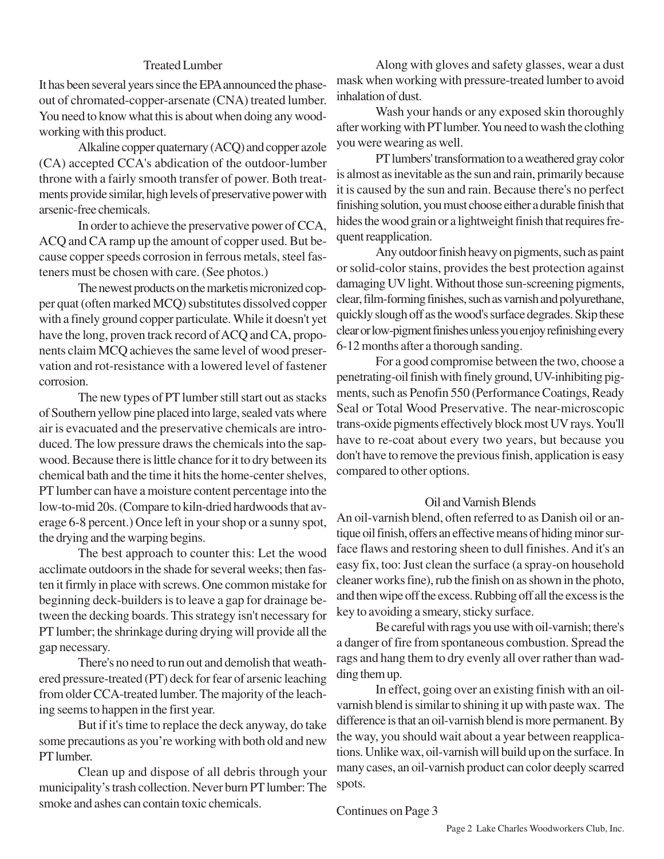## Treated Lumber

It has been several years since the EPA announced the phaseout of chromated-copper-arsenate (CNA) treated lumber. You need to know what this is about when doing any woodworking with this product.

Alkaline copper quaternary (ACQ) and copper azole (CA) accepted CCA's abdication of the outdoor-lumber throne with a fairly smooth transfer of power. Both treatments provide similar, high levels of preservative power with arsenic-free chemicals.

In order to achieve the preservative power of CCA, ACQ and CA ramp up the amount of copper used. But because copper speeds corrosion in ferrous metals, steel fasteners must be chosen with care. (See photos.)

The newest products on the marketis micronized copper quat (often marked MCQ) substitutes dissolved copper with a finely ground copper particulate. While it doesn't yet have the long, proven track record of ACQ and CA, proponents claim MCQ achieves the same level of wood preservation and rot-resistance with a lowered level of fastener corrosion.

The new types of PT lumber still start out as stacks of Southern yellow pine placed into large, sealed vats where air is evacuated and the preservative chemicals are introduced. The low pressure draws the chemicals into the sapwood. Because there is little chance for it to dry between its chemical bath and the time it hits the home-center shelves, PT lumber can have a moisture content percentage into the low-to-mid 20s. (Compare to kiln-dried hardwoods that average 6-8 percent.) Once left in your shop or a sunny spot, the drying and the warping begins.

The best approach to counter this: Let the wood acclimate outdoors in the shade for several weeks; then fasten it firmly in place with screws. One common mistake for beginning deck-builders is to leave a gap for drainage between the decking boards. This strategy isn't necessary for PT lumber; the shrinkage during drying will provide all the gap necessary.

There's no need to run out and demolish that weathered pressure-treated (PT) deck for fear of arsenic leaching from older CCA-treated lumber. The majority of the leaching seems to happen in the first year.

But if it's time to replace the deck anyway, do take some precautions as you're working with both old and new PT lumber.

Clean up and dispose of all debris through your municipality's trash collection. Never burn PT lumber: The smoke and ashes can contain toxic chemicals.

Along with gloves and safety glasses, wear a dust mask when working with pressure-treated lumber to avoid inhalation of dust.

Wash your hands or any exposed skin thoroughly after working with PT lumber. You need to wash the clothing you were wearing as well.

PT lumbers' transformation to a weathered gray color is almost as inevitable as the sun and rain, primarily because it is caused by the sun and rain. Because there's no perfect finishing solution, you must choose either a durable finish that hides the wood grain or a lightweight finish that requires frequent reapplication.

Any outdoor finish heavy on pigments, such as paint or solid-color stains, provides the best protection against damaging UV light. Without those sun-screening pigments, clear, film-forming finishes, such as varnish and polyurethane, quickly slough off as the wood's surface degrades. Skip these clear or low-pigment finishes unless you enjoy refinishing every 6-12 months after a thorough sanding.

For a good compromise between the two, choose a penetrating-oil finish with finely ground, UV-inhibiting pigments, such as Penofin 550 (Performance Coatings, Ready Seal or Total Wood Preservative. The near-microscopic trans-oxide pigments effectively block most UV rays. You'll have to re-coat about every two years, but because you don't have to remove the previous finish, application is easy compared to other options.

#### Oil and Varnish Blends

An oil-varnish blend, often referred to as Danish oil or antique oil finish, offers an effective means of hiding minor surface flaws and restoring sheen to dull finishes. And it's an easy fix, too: Just clean the surface (a spray-on household cleaner works fine), rub the finish on as shown in the photo, and then wipe off the excess. Rubbing off all the excess is the key to avoiding a smeary, sticky surface.

Be careful with rags you use with oil-varnish; there's a danger of fire from spontaneous combustion. Spread the rags and hang them to dry evenly all over rather than wadding them up.

In effect, going over an existing finish with an oilvarnish blend is similar to shining it up with paste wax. The difference is that an oil-varnish blend is more permanent. By the way, you should wait about a year between reapplications. Unlike wax, oil-varnish will build up on the surface. In many cases, an oil-varnish product can color deeply scarred spots.

Continues on Page 3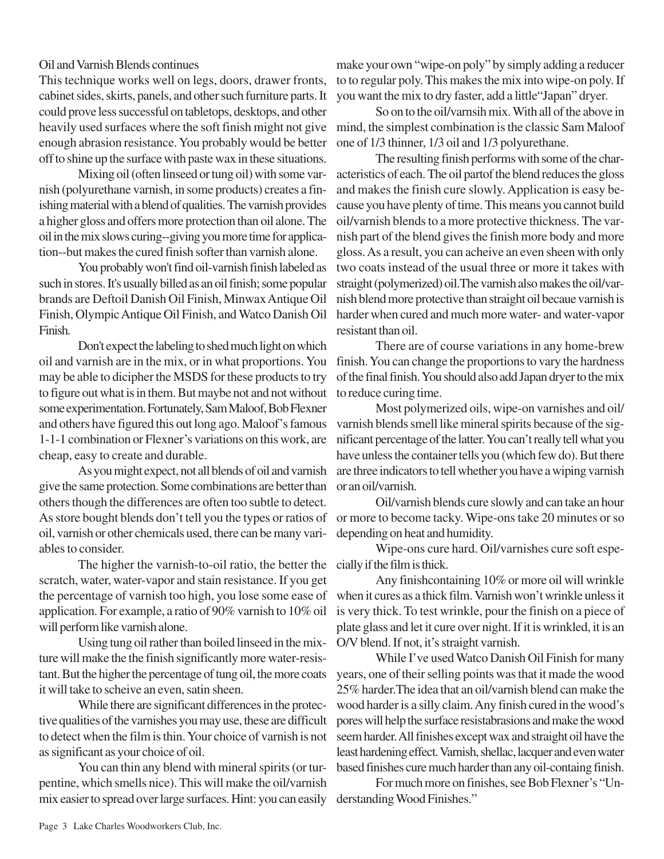Oil and Varnish Blends continues

This technique works well on legs, doors, drawer fronts, cabinet sides, skirts, panels, and other such furniture parts. It could prove less successful on tabletops, desktops, and other heavily used surfaces where the soft finish might not give mind, the simplest combination is the classic Sam Maloof enough abrasion resistance. You probably would be better off to shine up the surface with paste wax in these situations.

Mixing oil (often linseed or tung oil) with some varnish (polyurethane varnish, in some products) creates a finishing material with a blend of qualities. The varnish provides a higher gloss and offers more protection than oil alone. The oil in the mix slows curing--giving you more time for application--but makes the cured finish softer than varnish alone.

You probably won't find oil-varnish finish labeled as such in stores. It's usually billed as an oil finish; some popular brands are Deftoil Danish Oil Finish, Minwax Antique Oil Finish, Olympic Antique Oil Finish, and Watco Danish Oil Finish.

Don't expect the labeling to shed much light on which oil and varnish are in the mix, or in what proportions. You may be able to dicipher the MSDS for these products to try to figure out what is in them. But maybe not and not without some experimentation. Fortunately, Sam Maloof, Bob Flexner and others have figured this out long ago. Maloof's famous 1-1-1 combination or Flexner's variations on this work, are cheap, easy to create and durable.

As you might expect, not all blends of oil and varnish give the same protection. Some combinations are better than others though the differences are often too subtle to detect. As store bought blends don't tell you the types or ratios of oil, varnish or other chemicals used, there can be many variables to consider.

The higher the varnish-to-oil ratio, the better the cially if the film is thick. scratch, water, water-vapor and stain resistance. If you get the percentage of varnish too high, you lose some ease of application. For example, a ratio of 90% varnish to 10% oil is very thick. To test wrinkle, pour the finish on a piece of will perform like varnish alone.

Using tung oil rather than boiled linseed in the mixture will make the the finish significantly more water-resistant. But the higher the percentage of tung oil, the more coats it will take to scheive an even, satin sheen.

While there are significant differences in the protective qualities of the varnishes you may use, these are difficult to detect when the film is thin. Your choice of varnish is not as significant as your choice of oil.

You can thin any blend with mineral spirits (or turpentine, which smells nice). This will make the oil/varnish mix easier to spread over large surfaces. Hint: you can easily

make your own "wipe-on poly" by simply adding a reducer to to regular poly. This makes the mix into wipe-on poly. If you want the mix to dry faster, add a little"Japan" dryer.

So on to the oil/varnsih mix. With all of the above in one of 1/3 thinner, 1/3 oil and 1/3 polyurethane.

The resulting finish performs with some of the characteristics of each. The oil partof the blend reduces the gloss and makes the finish cure slowly. Application is easy because you have plenty of time. This means you cannot build oil/varnish blends to a more protective thickness. The varnish part of the blend gives the finish more body and more gloss. As a result, you can acheive an even sheen with only two coats instead of the usual three or more it takes with straight (polymerized) oil.The varnish also makes the oil/varnish blend more protective than straight oil becaue varnish is harder when cured and much more water- and water-vapor resistant than oil.

There are of course variations in any home-brew finish. You can change the proportions to vary the hardness of the final finish. You should also add Japan dryer to the mix to reduce curing time.

Most polymerized oils, wipe-on varnishes and oil/ varnish blends smell like mineral spirits because of the significant percentage of the latter. You can't really tell what you have unless the container tells you (which few do). But there are three indicators to tell whether you have a wiping varnish or an oil/varnish.

Oil/varnish blends cure slowly and can take an hour or more to become tacky. Wipe-ons take 20 minutes or so depending on heat and humidity.

Wipe-ons cure hard. Oil/varnishes cure soft espe-

Any finishcontaining 10% or more oil will wrinkle when it cures as a thick film. Varnish won't wrinkle unless it plate glass and let it cure over night. If it is wrinkled, it is an O/V blend. If not, it's straight varnish.

While I've used Watco Danish Oil Finish for many years, one of their selling points was that it made the wood 25% harder.The idea that an oil/varnish blend can make the wood harder is a silly claim. Any finish cured in the wood's pores will help the surface resistabrasions and make the wood seem harder. All finishes except wax and straight oil have the least hardening effect. Varnish, shellac, lacquer and even water based finishes cure much harder than any oil-containg finish.

For much more on finishes, see Bob Flexner's "Understanding Wood Finishes."